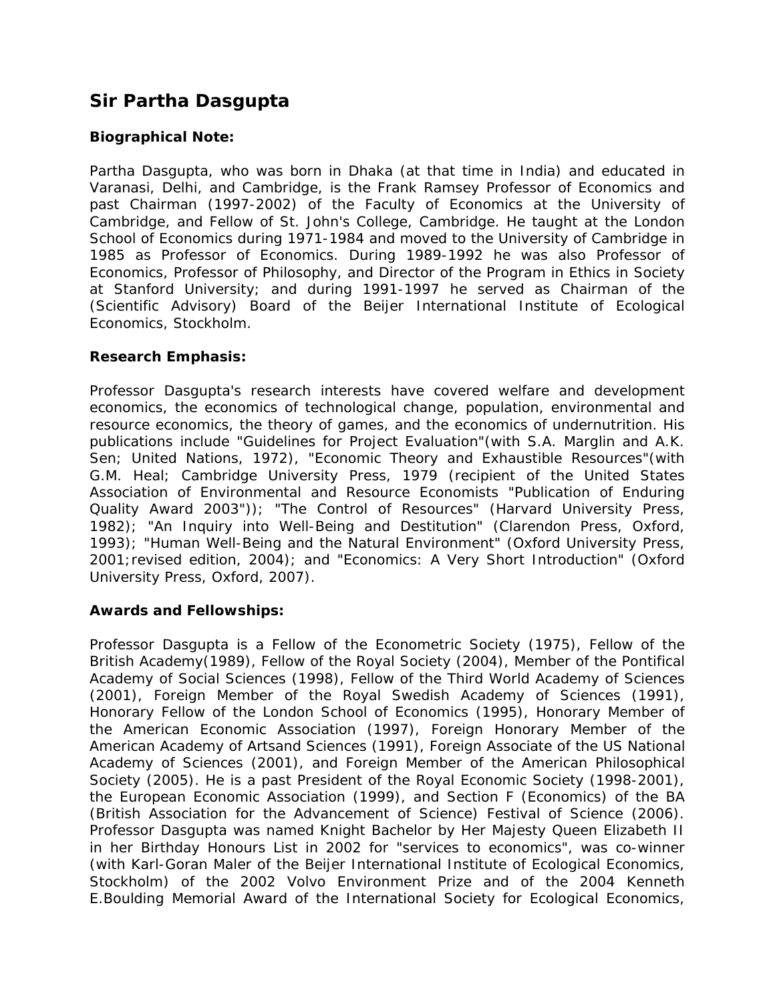# **Sir Partha Dasgupta**

## **Biographical Note:**

Partha Dasgupta, who was born in Dhaka (at that time in India) and educated in Varanasi, Delhi, and Cambridge, is the Frank Ramsey Professor of Economics and past Chairman (1997-2002) of the Faculty of Economics at the University of Cambridge, and Fellow of St. John's College, Cambridge. He taught at the London School of Economics during 1971-1984 and moved to the University of Cambridge in 1985 as Professor of Economics. During 1989-1992 he was also Professor of Economics, Professor of Philosophy, and Director of the Program in Ethics in Society at Stanford University; and during 1991-1997 he served as Chairman of the (Scientific Advisory) Board of the Beijer International Institute of Ecological Economics, Stockholm.

## **Research Emphasis:**

Professor Dasgupta's research interests have covered welfare and development economics, the economics of technological change, population, environmental and resource economics, the theory of games, and the economics of undernutrition. His publications include "Guidelines for Project Evaluation"(with S.A. Marglin and A.K. Sen; United Nations, 1972), "Economic Theory and Exhaustible Resources"(with G.M. Heal; Cambridge University Press, 1979 (recipient of the United States Association of Environmental and Resource Economists "Publication of Enduring Quality Award 2003")); "The Control of Resources" (Harvard University Press, 1982); "An Inquiry into Well-Being and Destitution" (Clarendon Press, Oxford, 1993); "Human Well-Being and the Natural Environment" (Oxford University Press, 2001;revised edition, 2004); and "Economics: A Very Short Introduction" (Oxford University Press, Oxford, 2007).

#### **Awards and Fellowships:**

Professor Dasgupta is a Fellow of the Econometric Society (1975), Fellow of the British Academy(1989), Fellow of the Royal Society (2004), Member of the Pontifical Academy of Social Sciences (1998), Fellow of the Third World Academy of Sciences (2001), Foreign Member of the Royal Swedish Academy of Sciences (1991), Honorary Fellow of the London School of Economics (1995), Honorary Member of the American Economic Association (1997), Foreign Honorary Member of the American Academy of Artsand Sciences (1991), Foreign Associate of the US National Academy of Sciences (2001), and Foreign Member of the American Philosophical Society (2005). He is a past President of the Royal Economic Society (1998-2001), the European Economic Association (1999), and Section F (Economics) of the BA (British Association for the Advancement of Science) Festival of Science (2006). Professor Dasgupta was named Knight Bachelor by Her Majesty Queen Elizabeth II in her Birthday Honours List in 2002 for "services to economics", was co-winner (with Karl-Goran Maler of the Beijer International Institute of Ecological Economics, Stockholm) of the 2002 Volvo Environment Prize and of the 2004 Kenneth E.Boulding Memorial Award of the International Society for Ecological Economics,